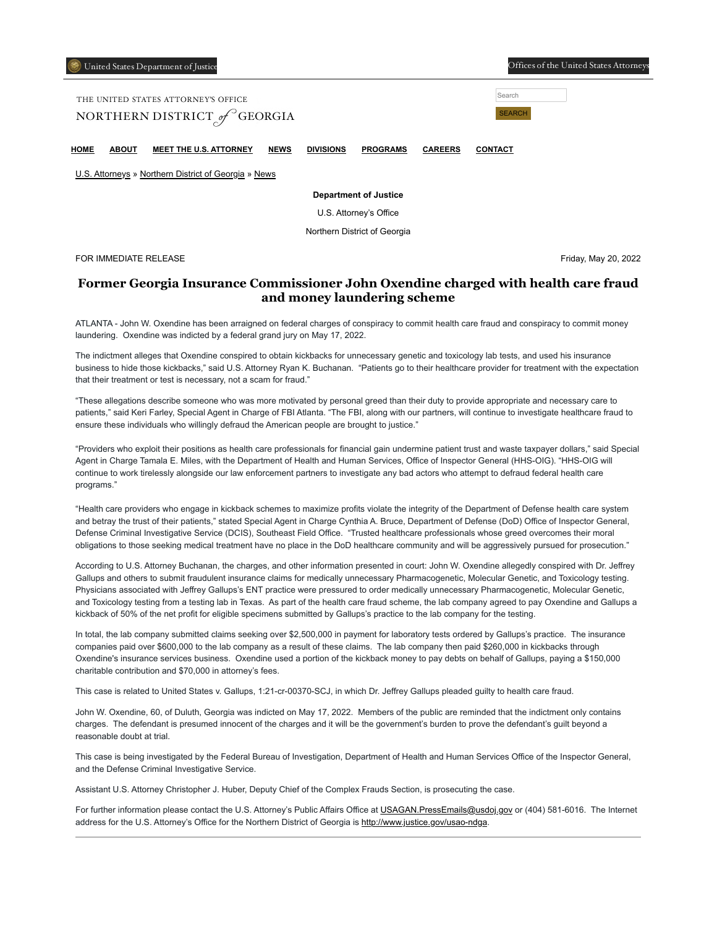| United States Department of Justice |  |  |
|-------------------------------------|--|--|
|                                     |  |  |

Offices of the United States Attorney

| THE UNITED STATES ATTORNEY'S OFFICE<br>NORTHERN DISTRICT of GEORGIA | Search<br><b>SEARCH</b> |                               |             |                  |                 |                |                |  |
|---------------------------------------------------------------------|-------------------------|-------------------------------|-------------|------------------|-----------------|----------------|----------------|--|
| номе                                                                | <b>ABOUT</b>            | <b>MEET THE U.S. ATTORNEY</b> | <b>NEWS</b> | <b>DIVISIONS</b> | <b>PROGRAMS</b> | <b>CAREERS</b> | <b>CONTACT</b> |  |

[U.S. Attorneys](https://www.justice.gov/usao) » [Northern District of Georgia](https://www.justice.gov/usao-ndga) » [News](https://www.justice.gov/usao-ndga/pr)

**Department of Justice**

U.S. Attorney's Office

Northern District of Georgia

FOR IMMEDIATE RELEASE Friday, May 20, 2022

## **Former Georgia Insurance Commissioner John Oxendine charged with health care fraud and money laundering scheme**

ATLANTA - John W. Oxendine has been arraigned on federal charges of conspiracy to commit health care fraud and conspiracy to commit money laundering. Oxendine was indicted by a federal grand jury on May 17, 2022.

The indictment alleges that Oxendine conspired to obtain kickbacks for unnecessary genetic and toxicology lab tests, and used his insurance business to hide those kickbacks," said U.S. Attorney Ryan K. Buchanan. "Patients go to their healthcare provider for treatment with the expectation that their treatment or test is necessary, not a scam for fraud."

"These allegations describe someone who was more motivated by personal greed than their duty to provide appropriate and necessary care to patients," said Keri Farley, Special Agent in Charge of FBI Atlanta. "The FBI, along with our partners, will continue to investigate healthcare fraud to ensure these individuals who willingly defraud the American people are brought to justice."

"Providers who exploit their positions as health care professionals for financial gain undermine patient trust and waste taxpayer dollars," said Special Agent in Charge Tamala E. Miles, with the Department of Health and Human Services, Office of Inspector General (HHS-OIG). "HHS-OIG will continue to work tirelessly alongside our law enforcement partners to investigate any bad actors who attempt to defraud federal health care programs."

"Health care providers who engage in kickback schemes to maximize profits violate the integrity of the Department of Defense health care system and betray the trust of their patients," stated Special Agent in Charge Cynthia A. Bruce, Department of Defense (DoD) Office of Inspector General, Defense Criminal Investigative Service (DCIS), Southeast Field Office. "Trusted healthcare professionals whose greed overcomes their moral obligations to those seeking medical treatment have no place in the DoD healthcare community and will be aggressively pursued for prosecution."

According to U.S. Attorney Buchanan, the charges, and other information presented in court: John W. Oxendine allegedly conspired with Dr. Jeffrey Gallups and others to submit fraudulent insurance claims for medically unnecessary Pharmacogenetic, Molecular Genetic, and Toxicology testing. Physicians associated with Jeffrey Gallups's ENT practice were pressured to order medically unnecessary Pharmacogenetic, Molecular Genetic, and Toxicology testing from a testing lab in Texas. As part of the health care fraud scheme, the lab company agreed to pay Oxendine and Gallups a kickback of 50% of the net profit for eligible specimens submitted by Gallups's practice to the lab company for the testing.

In total, the lab company submitted claims seeking over \$2,500,000 in payment for laboratory tests ordered by Gallups's practice. The insurance companies paid over \$600,000 to the lab company as a result of these claims. The lab company then paid \$260,000 in kickbacks through Oxendine's insurance services business. Oxendine used a portion of the kickback money to pay debts on behalf of Gallups, paying a \$150,000 charitable contribution and \$70,000 in attorney's fees.

This case is related to United States v. Gallups, 1:21-cr-00370-SCJ, in which Dr. Jeffrey Gallups pleaded guilty to health care fraud.

John W. Oxendine, 60, of Duluth, Georgia was indicted on May 17, 2022. Members of the public are reminded that the indictment only contains charges. The defendant is presumed innocent of the charges and it will be the government's burden to prove the defendant's guilt beyond a reasonable doubt at trial.

This case is being investigated by the Federal Bureau of Investigation, Department of Health and Human Services Office of the Inspector General, and the Defense Criminal Investigative Service.

Assistant U.S. Attorney Christopher J. Huber, Deputy Chief of the Complex Frauds Section, is prosecuting the case.

For further information please contact the U.S. Attorney's Public Affairs Office at [USAGAN.PressEmails@usdoj.gov](mailto:USAGAN.PressEmails@usdoj.gov) or (404) 581-6016. The Internet address for the U.S. Attorney's Office for the Northern District of Georgia is [http://www.justice.gov/usao-ndga.](https://www.justice.gov/usao-ndga)